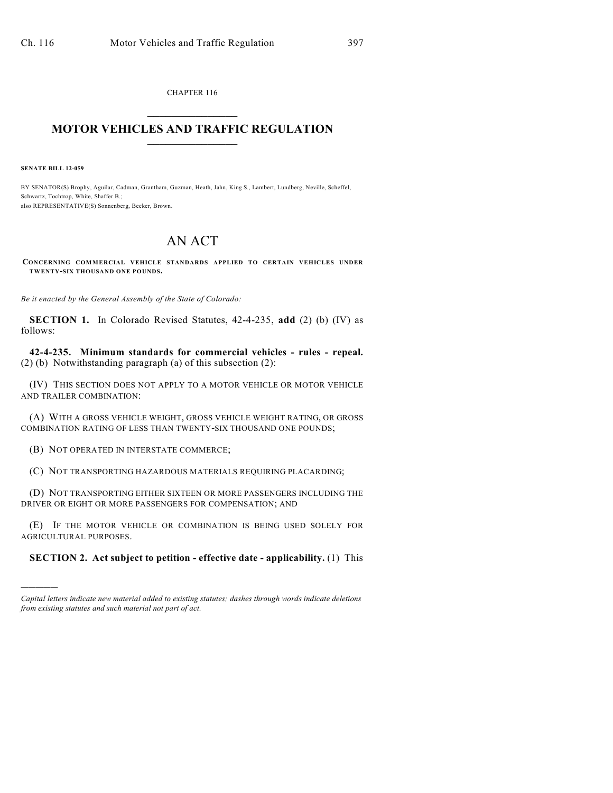CHAPTER 116  $\overline{\phantom{a}}$  . The set of the set of the set of the set of the set of the set of the set of the set of the set of the set of the set of the set of the set of the set of the set of the set of the set of the set of the set o

## **MOTOR VEHICLES AND TRAFFIC REGULATION**  $\frac{1}{2}$  ,  $\frac{1}{2}$  ,  $\frac{1}{2}$  ,  $\frac{1}{2}$  ,  $\frac{1}{2}$  ,  $\frac{1}{2}$  ,  $\frac{1}{2}$

**SENATE BILL 12-059**

)))))

BY SENATOR(S) Brophy, Aguilar, Cadman, Grantham, Guzman, Heath, Jahn, King S., Lambert, Lundberg, Neville, Scheffel, Schwartz, Tochtrop, White, Shaffer B.; also REPRESENTATIVE(S) Sonnenberg, Becker, Brown.

## AN ACT

**CONCERNING COMMERCIAL VEHICLE STANDARDS APPLIED TO CERTAIN VEHICLES UNDER TWENTY-SIX THOUSAND ONE POUNDS.**

*Be it enacted by the General Assembly of the State of Colorado:*

**SECTION 1.** In Colorado Revised Statutes, 42-4-235, **add** (2) (b) (IV) as follows:

**42-4-235. Minimum standards for commercial vehicles - rules - repeal.** (2) (b) Notwithstanding paragraph (a) of this subsection (2):

(IV) THIS SECTION DOES NOT APPLY TO A MOTOR VEHICLE OR MOTOR VEHICLE AND TRAILER COMBINATION:

(A) WITH A GROSS VEHICLE WEIGHT, GROSS VEHICLE WEIGHT RATING, OR GROSS COMBINATION RATING OF LESS THAN TWENTY-SIX THOUSAND ONE POUNDS;

(B) NOT OPERATED IN INTERSTATE COMMERCE;

(C) NOT TRANSPORTING HAZARDOUS MATERIALS REQUIRING PLACARDING;

(D) NOT TRANSPORTING EITHER SIXTEEN OR MORE PASSENGERS INCLUDING THE DRIVER OR EIGHT OR MORE PASSENGERS FOR COMPENSATION; AND

(E) IF THE MOTOR VEHICLE OR COMBINATION IS BEING USED SOLELY FOR AGRICULTURAL PURPOSES.

## **SECTION 2. Act subject to petition - effective date - applicability.** (1) This

*Capital letters indicate new material added to existing statutes; dashes through words indicate deletions from existing statutes and such material not part of act.*